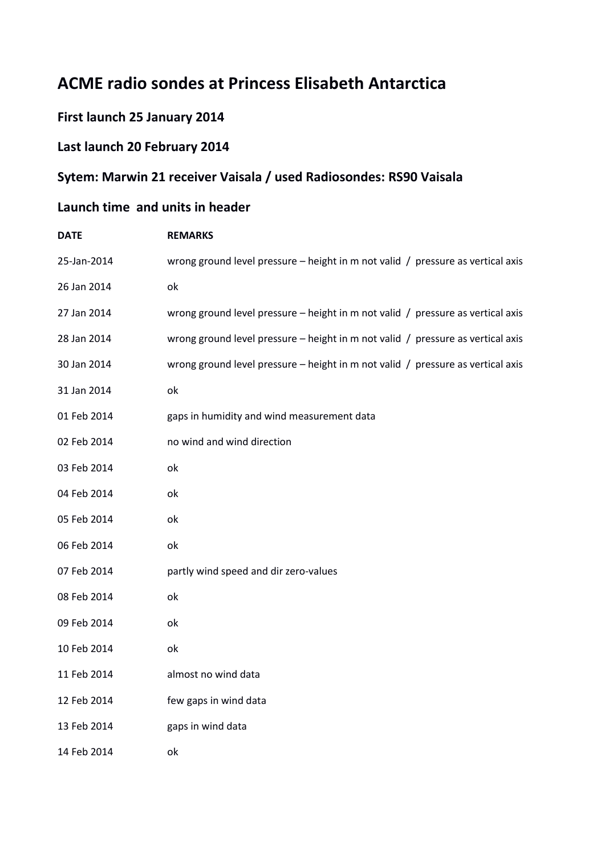# **ACME radio sondes at Princess Elisabeth Antarctica**

#### **First launch 25 January 2014**

#### **Last launch 20 February 2014**

### **Sytem: Marwin 21 receiver Vaisala / used Radiosondes: RS90 Vaisala**

## **Launch time and units in header**

| <b>DATE</b> | <b>REMARKS</b>                                                                  |
|-------------|---------------------------------------------------------------------------------|
| 25-Jan-2014 | wrong ground level pressure - height in m not valid / pressure as vertical axis |
| 26 Jan 2014 | оk                                                                              |
| 27 Jan 2014 | wrong ground level pressure - height in m not valid / pressure as vertical axis |
| 28 Jan 2014 | wrong ground level pressure - height in m not valid / pressure as vertical axis |
| 30 Jan 2014 | wrong ground level pressure - height in m not valid / pressure as vertical axis |
| 31 Jan 2014 | оk                                                                              |
| 01 Feb 2014 | gaps in humidity and wind measurement data                                      |
| 02 Feb 2014 | no wind and wind direction                                                      |
| 03 Feb 2014 | ok                                                                              |
| 04 Feb 2014 | ok                                                                              |
| 05 Feb 2014 | ok                                                                              |
| 06 Feb 2014 | оk                                                                              |
| 07 Feb 2014 | partly wind speed and dir zero-values                                           |
| 08 Feb 2014 | ok                                                                              |
| 09 Feb 2014 | оk                                                                              |
| 10 Feb 2014 | ok                                                                              |
| 11 Feb 2014 | almost no wind data                                                             |
| 12 Feb 2014 | few gaps in wind data                                                           |
| 13 Feb 2014 | gaps in wind data                                                               |
| 14 Feb 2014 | ok                                                                              |